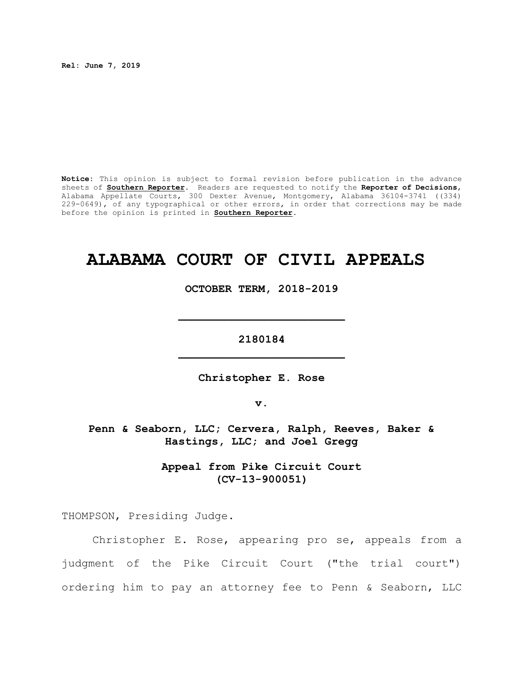**Rel: June 7, 2019**

**Notice:** This opinion is subject to formal revision before publication in the advance sheets of **Southern Reporter**. Readers are requested to notify the **Reporter of Decisions**, Alabama Appellate Courts, 300 Dexter Avenue, Montgomery, Alabama 36104-3741 ((334) 229-0649), of any typographical or other errors, in order that corrections may be made before the opinion is printed in **Southern Reporter**.

# **ALABAMA COURT OF CIVIL APPEALS**

**OCTOBER TERM, 2018-2019**

**\_\_\_\_\_\_\_\_\_\_\_\_\_\_\_\_\_\_\_\_\_\_\_\_\_**

**2180184 \_\_\_\_\_\_\_\_\_\_\_\_\_\_\_\_\_\_\_\_\_\_\_\_\_**

**Christopher E. Rose**

**v.**

**Penn & Seaborn, LLC; Cervera, Ralph, Reeves, Baker & Hastings, LLC; and Joel Gregg**

> **Appeal from Pike Circuit Court (CV-13-900051)**

THOMPSON, Presiding Judge.

Christopher E. Rose, appearing pro se, appeals from a judgment of the Pike Circuit Court ("the trial court") ordering him to pay an attorney fee to Penn & Seaborn, LLC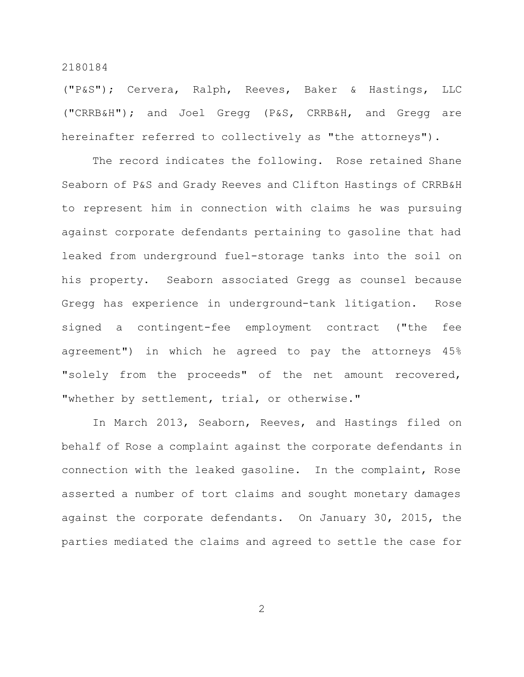("P&S"); Cervera, Ralph, Reeves, Baker & Hastings, LLC ("CRRB&H"); and Joel Gregg (P&S, CRRB&H, and Gregg are hereinafter referred to collectively as "the attorneys").

The record indicates the following. Rose retained Shane Seaborn of P&S and Grady Reeves and Clifton Hastings of CRRB&H to represent him in connection with claims he was pursuing against corporate defendants pertaining to gasoline that had leaked from underground fuel-storage tanks into the soil on his property. Seaborn associated Gregg as counsel because Gregg has experience in underground-tank litigation. Rose signed a contingent-fee employment contract ("the fee agreement") in which he agreed to pay the attorneys 45% "solely from the proceeds" of the net amount recovered, "whether by settlement, trial, or otherwise."

In March 2013, Seaborn, Reeves, and Hastings filed on behalf of Rose a complaint against the corporate defendants in connection with the leaked gasoline. In the complaint, Rose asserted a number of tort claims and sought monetary damages against the corporate defendants. On January 30, 2015, the parties mediated the claims and agreed to settle the case for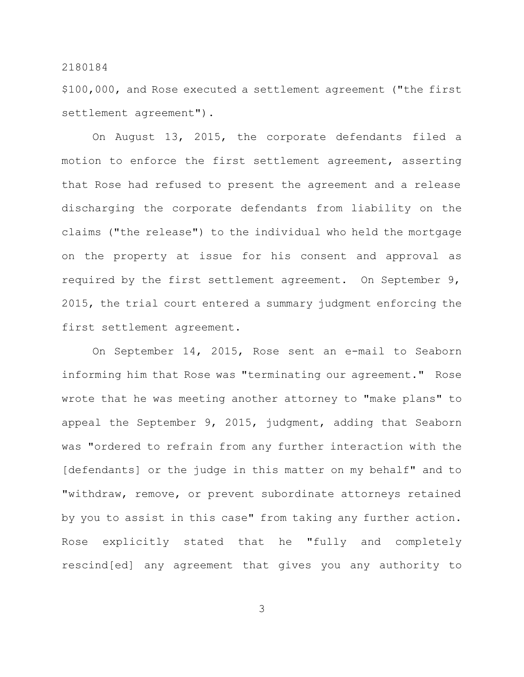\$100,000, and Rose executed a settlement agreement ("the first settlement agreement").

On August 13, 2015, the corporate defendants filed a motion to enforce the first settlement agreement, asserting that Rose had refused to present the agreement and a release discharging the corporate defendants from liability on the claims ("the release") to the individual who held the mortgage on the property at issue for his consent and approval as required by the first settlement agreement. On September 9, 2015, the trial court entered a summary judgment enforcing the first settlement agreement.

On September 14, 2015, Rose sent an e-mail to Seaborn informing him that Rose was "terminating our agreement." Rose wrote that he was meeting another attorney to "make plans" to appeal the September 9, 2015, judgment, adding that Seaborn was "ordered to refrain from any further interaction with the [defendants] or the judge in this matter on my behalf" and to "withdraw, remove, or prevent subordinate attorneys retained by you to assist in this case" from taking any further action. Rose explicitly stated that he "fully and completely rescind[ed] any agreement that gives you any authority to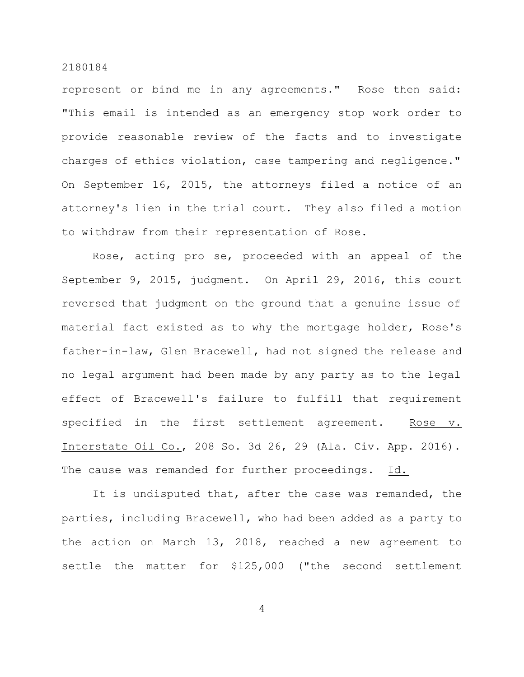represent or bind me in any agreements." Rose then said: "This email is intended as an emergency stop work order to provide reasonable review of the facts and to investigate charges of ethics violation, case tampering and negligence." On September 16, 2015, the attorneys filed a notice of an attorney's lien in the trial court. They also filed a motion to withdraw from their representation of Rose.

Rose, acting pro se, proceeded with an appeal of the September 9, 2015, judgment. On April 29, 2016, this court reversed that judgment on the ground that a genuine issue of material fact existed as to why the mortgage holder, Rose's father-in-law, Glen Bracewell, had not signed the release and no legal argument had been made by any party as to the legal effect of Bracewell's failure to fulfill that requirement specified in the first settlement agreement. Rose v. Interstate Oil Co., 208 So. 3d 26, 29 (Ala. Civ. App. 2016). The cause was remanded for further proceedings. Id.

It is undisputed that, after the case was remanded, the parties, including Bracewell, who had been added as a party to the action on March 13, 2018, reached a new agreement to settle the matter for \$125,000 ("the second settlement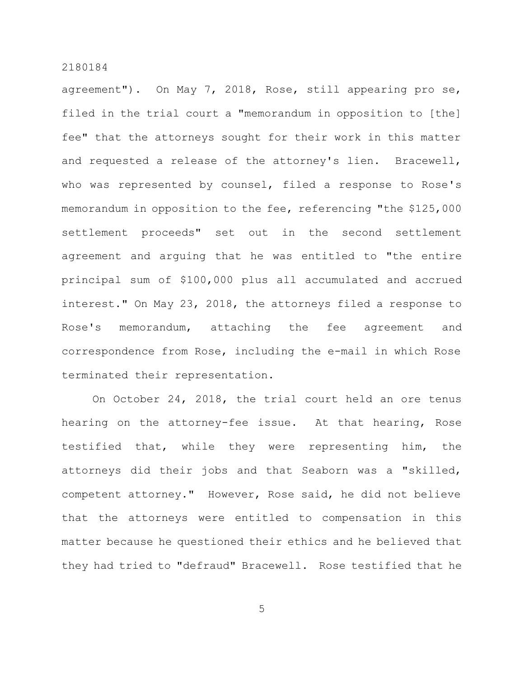agreement"). On May 7, 2018, Rose, still appearing pro se, filed in the trial court a "memorandum in opposition to [the] fee" that the attorneys sought for their work in this matter and requested a release of the attorney's lien. Bracewell, who was represented by counsel, filed a response to Rose's memorandum in opposition to the fee, referencing "the \$125,000 settlement proceeds" set out in the second settlement agreement and arguing that he was entitled to "the entire principal sum of \$100,000 plus all accumulated and accrued interest." On May 23, 2018, the attorneys filed a response to Rose's memorandum, attaching the fee agreement and correspondence from Rose, including the e-mail in which Rose terminated their representation.

On October 24, 2018, the trial court held an ore tenus hearing on the attorney-fee issue. At that hearing, Rose testified that, while they were representing him, the attorneys did their jobs and that Seaborn was a "skilled, competent attorney." However, Rose said, he did not believe that the attorneys were entitled to compensation in this matter because he questioned their ethics and he believed that they had tried to "defraud" Bracewell. Rose testified that he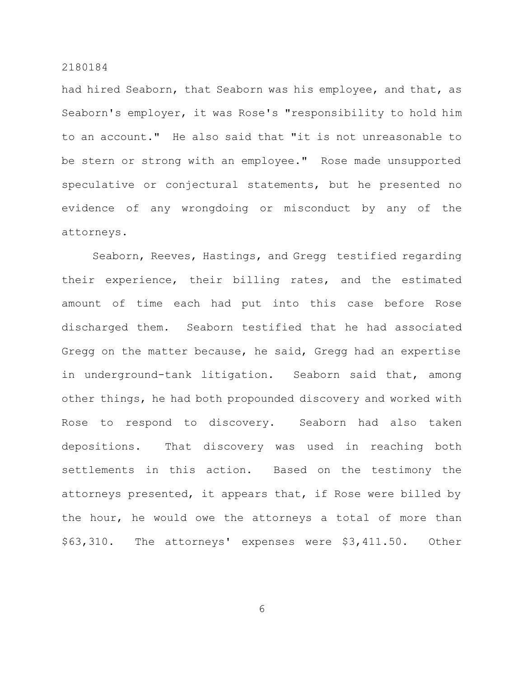had hired Seaborn, that Seaborn was his employee, and that, as Seaborn's employer, it was Rose's "responsibility to hold him to an account." He also said that "it is not unreasonable to be stern or strong with an employee." Rose made unsupported speculative or conjectural statements, but he presented no evidence of any wrongdoing or misconduct by any of the attorneys.

Seaborn, Reeves, Hastings, and Gregg testified regarding their experience, their billing rates, and the estimated amount of time each had put into this case before Rose discharged them. Seaborn testified that he had associated Gregg on the matter because, he said, Gregg had an expertise in underground-tank litigation. Seaborn said that, among other things, he had both propounded discovery and worked with Rose to respond to discovery. Seaborn had also taken depositions. That discovery was used in reaching both settlements in this action. Based on the testimony the attorneys presented, it appears that, if Rose were billed by the hour, he would owe the attorneys a total of more than \$63,310. The attorneys' expenses were \$3,411.50. Other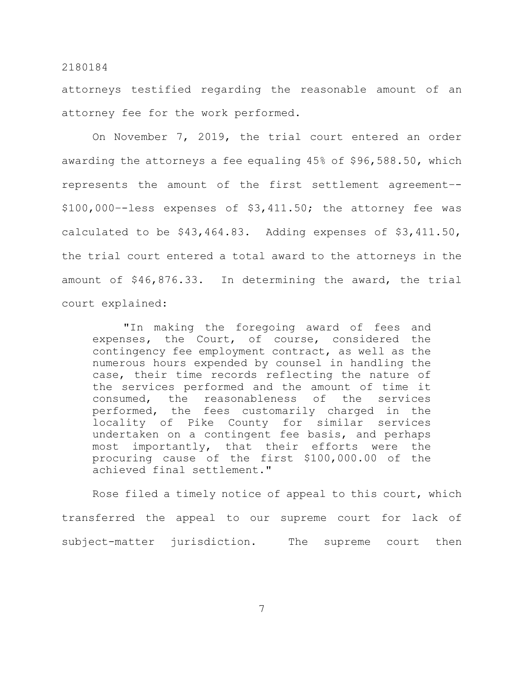attorneys testified regarding the reasonable amount of an attorney fee for the work performed.

On November 7, 2019, the trial court entered an order awarding the attorneys a fee equaling 45% of \$96,588.50, which represents the amount of the first settlement agreement–- \$100,000–-less expenses of \$3,411.50; the attorney fee was calculated to be \$43,464.83. Adding expenses of \$3,411.50, the trial court entered a total award to the attorneys in the amount of \$46,876.33. In determining the award, the trial court explained:

"In making the foregoing award of fees and expenses, the Court, of course, considered the contingency fee employment contract, as well as the numerous hours expended by counsel in handling the case, their time records reflecting the nature of the services performed and the amount of time it consumed, the reasonableness of the services performed, the fees customarily charged in the locality of Pike County for similar services undertaken on a contingent fee basis, and perhaps most importantly, that their efforts were the procuring cause of the first \$100,000.00 of the achieved final settlement."

Rose filed a timely notice of appeal to this court, which transferred the appeal to our supreme court for lack of subject-matter jurisdiction. The supreme court then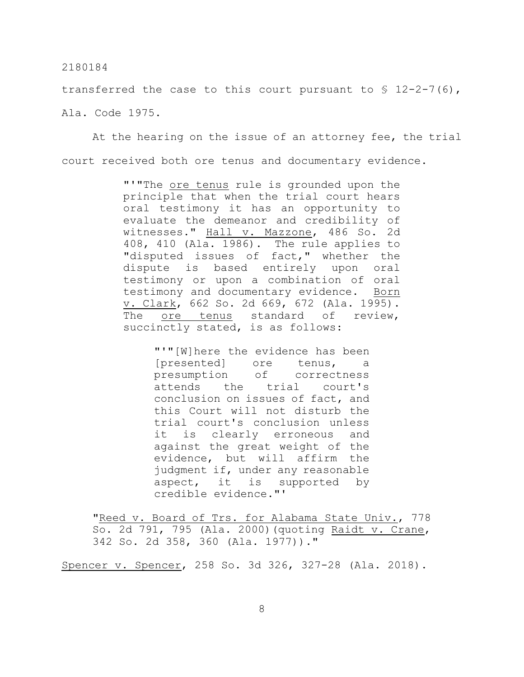transferred the case to this court pursuant to  $\S$  12-2-7(6), Ala. Code 1975.

At the hearing on the issue of an attorney fee, the trial court received both ore tenus and documentary evidence.

> "'"The ore tenus rule is grounded upon the principle that when the trial court hears oral testimony it has an opportunity to evaluate the demeanor and credibility of witnesses." Hall v. Mazzone, 486 So. 2d 408, 410 (Ala. 1986). The rule applies to "disputed issues of fact," whether the dispute is based entirely upon oral testimony or upon a combination of oral testimony and documentary evidence. Born v. Clark, 662 So. 2d 669, 672 (Ala. 1995). The ore tenus standard of review, succinctly stated, is as follows:

> > "'"[W]here the evidence has been [presented] ore tenus, a presumption of correctness attends the trial court's conclusion on issues of fact, and this Court will not disturb the trial court's conclusion unless it is clearly erroneous and against the great weight of the evidence, but will affirm the judgment if, under any reasonable aspect, it is supported by credible evidence."'

"Reed v. Board of Trs. for Alabama State Univ., 778 So. 2d 791, 795 (Ala. 2000)(quoting Raidt v. Crane, 342 So. 2d 358, 360 (Ala. 1977))."

Spencer v. Spencer, 258 So. 3d 326, 327-28 (Ala. 2018).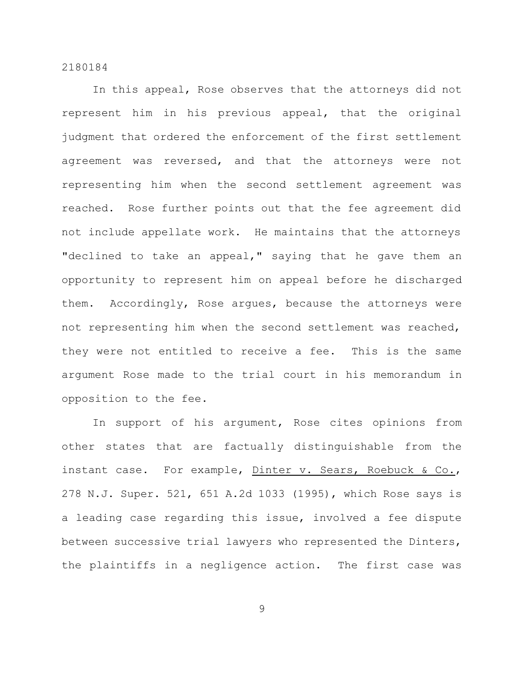In this appeal, Rose observes that the attorneys did not represent him in his previous appeal, that the original judgment that ordered the enforcement of the first settlement agreement was reversed, and that the attorneys were not representing him when the second settlement agreement was reached. Rose further points out that the fee agreement did not include appellate work. He maintains that the attorneys "declined to take an appeal," saying that he gave them an opportunity to represent him on appeal before he discharged them. Accordingly, Rose argues, because the attorneys were not representing him when the second settlement was reached, they were not entitled to receive a fee. This is the same argument Rose made to the trial court in his memorandum in opposition to the fee.

In support of his argument, Rose cites opinions from other states that are factually distinguishable from the instant case. For example, Dinter v. Sears, Roebuck & Co., 278 N.J. Super. 521, 651 A.2d 1033 (1995), which Rose says is a leading case regarding this issue, involved a fee dispute between successive trial lawyers who represented the Dinters, the plaintiffs in a negligence action. The first case was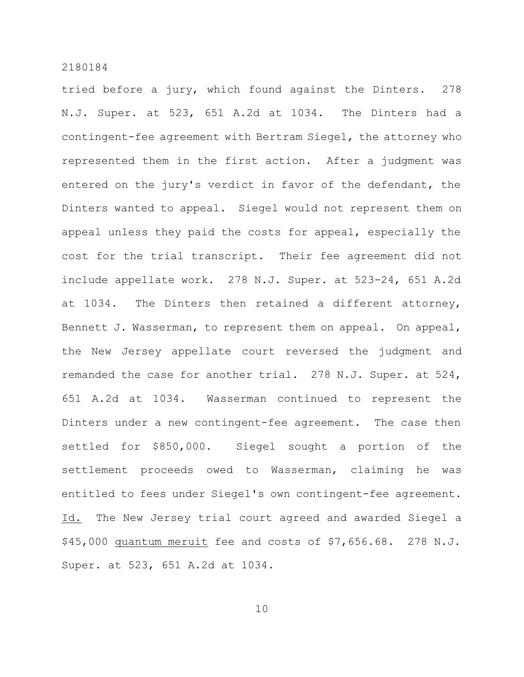tried before a jury, which found against the Dinters. 278 N.J. Super. at 523, 651 A.2d at 1034. The Dinters had a contingent-fee agreement with Bertram Siegel, the attorney who represented them in the first action. After a judgment was entered on the jury's verdict in favor of the defendant, the Dinters wanted to appeal. Siegel would not represent them on appeal unless they paid the costs for appeal, especially the cost for the trial transcript. Their fee agreement did not include appellate work. 278 N.J. Super. at 523-24, 651 A.2d at 1034. The Dinters then retained a different attorney, Bennett J. Wasserman, to represent them on appeal. On appeal, the New Jersey appellate court reversed the judgment and remanded the case for another trial. 278 N.J. Super. at 524, 651 A.2d at 1034. Wasserman continued to represent the Dinters under a new contingent-fee agreement. The case then settled for \$850,000. Siegel sought a portion of the settlement proceeds owed to Wasserman, claiming he was entitled to fees under Siegel's own contingent-fee agreement. Id. The New Jersey trial court agreed and awarded Siegel a \$45,000 quantum meruit fee and costs of \$7,656.68. 278 N.J. Super. at 523, 651 A.2d at 1034.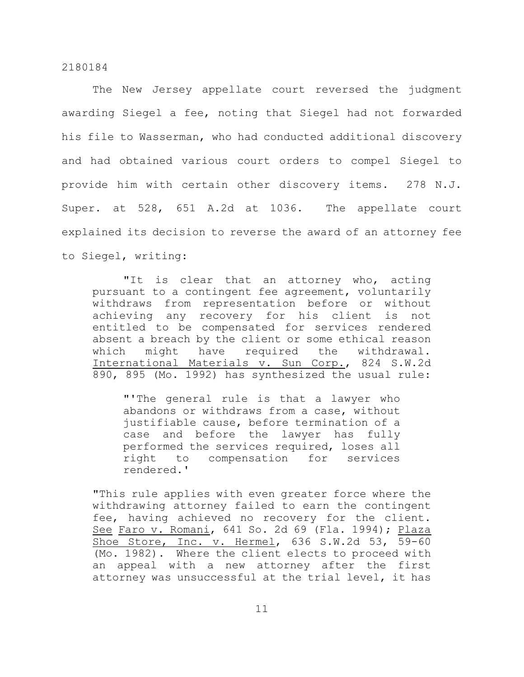The New Jersey appellate court reversed the judgment awarding Siegel a fee, noting that Siegel had not forwarded his file to Wasserman, who had conducted additional discovery and had obtained various court orders to compel Siegel to provide him with certain other discovery items. 278 N.J. Super. at 528, 651 A.2d at 1036. The appellate court explained its decision to reverse the award of an attorney fee to Siegel, writing:

"It is clear that an attorney who, acting pursuant to a contingent fee agreement, voluntarily withdraws from representation before or without achieving any recovery for his client is not entitled to be compensated for services rendered absent a breach by the client or some ethical reason which might have required the withdrawal. International Materials v. Sun Corp., 824 S.W.2d 890, 895 (Mo. 1992) has synthesized the usual rule:

"'The general rule is that a lawyer who abandons or withdraws from a case, without justifiable cause, before termination of a case and before the lawyer has fully performed the services required, loses all right to compensation for services rendered.'

"This rule applies with even greater force where the withdrawing attorney failed to earn the contingent fee, having achieved no recovery for the client. See Faro v. Romani, 641 So. 2d 69 (Fla. 1994); Plaza Shoe Store, Inc. v. Hermel, 636 S.W.2d 53, 59-60 (Mo. 1982). Where the client elects to proceed with an appeal with a new attorney after the first attorney was unsuccessful at the trial level, it has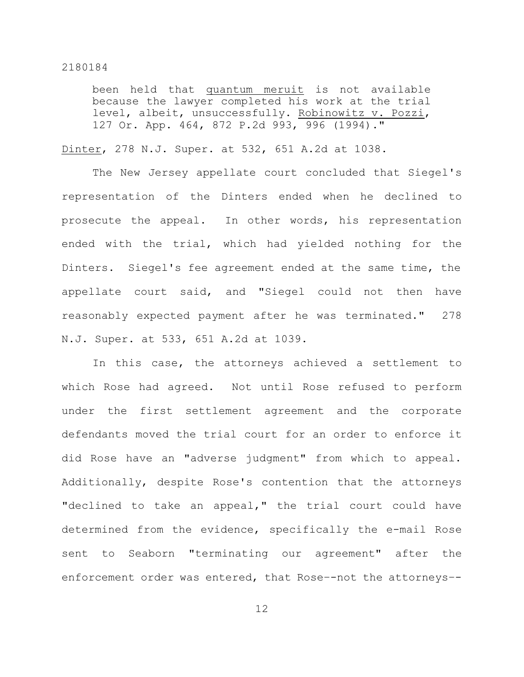been held that quantum meruit is not available because the lawyer completed his work at the trial level, albeit, unsuccessfully. Robinowitz v. Pozzi, 127 Or. App. 464, 872 P.2d 993, 996 (1994)."

Dinter, 278 N.J. Super. at 532, 651 A.2d at 1038.

The New Jersey appellate court concluded that Siegel's representation of the Dinters ended when he declined to prosecute the appeal. In other words, his representation ended with the trial, which had yielded nothing for the Dinters. Siegel's fee agreement ended at the same time, the appellate court said, and "Siegel could not then have reasonably expected payment after he was terminated." 278 N.J. Super. at 533, 651 A.2d at 1039.

In this case, the attorneys achieved a settlement to which Rose had agreed. Not until Rose refused to perform under the first settlement agreement and the corporate defendants moved the trial court for an order to enforce it did Rose have an "adverse judgment" from which to appeal. Additionally, despite Rose's contention that the attorneys "declined to take an appeal," the trial court could have determined from the evidence, specifically the e-mail Rose sent to Seaborn "terminating our agreement" after the enforcement order was entered, that Rose–-not the attorneys–-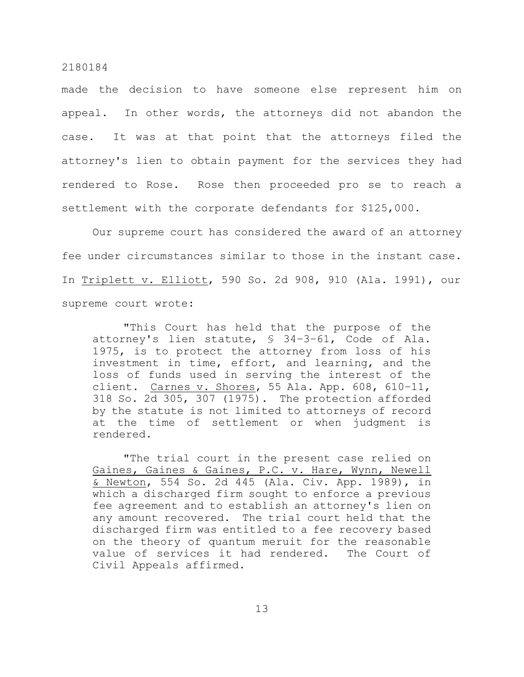made the decision to have someone else represent him on appeal. In other words, the attorneys did not abandon the case. It was at that point that the attorneys filed the attorney's lien to obtain payment for the services they had rendered to Rose. Rose then proceeded pro se to reach a settlement with the corporate defendants for \$125,000.

Our supreme court has considered the award of an attorney fee under circumstances similar to those in the instant case. In Triplett v. Elliott, 590 So. 2d 908, 910 (Ala. 1991), our supreme court wrote:

"This Court has held that the purpose of the attorney's lien statute, § 34–3–61, Code of Ala. 1975, is to protect the attorney from loss of his investment in time, effort, and learning, and the loss of funds used in serving the interest of the client. Carnes v. Shores, 55 Ala. App. 608, 610-11, 318 So. 2d 305, 307 (1975). The protection afforded by the statute is not limited to attorneys of record at the time of settlement or when judgment is rendered.

"The trial court in the present case relied on Gaines, Gaines & Gaines, P.C. v. Hare, Wynn, Newell & Newton, 554 So. 2d 445 (Ala. Civ. App. 1989), in which a discharged firm sought to enforce a previous fee agreement and to establish an attorney's lien on any amount recovered. The trial court held that the discharged firm was entitled to a fee recovery based on the theory of quantum meruit for the reasonable value of services it had rendered. The Court of Civil Appeals affirmed.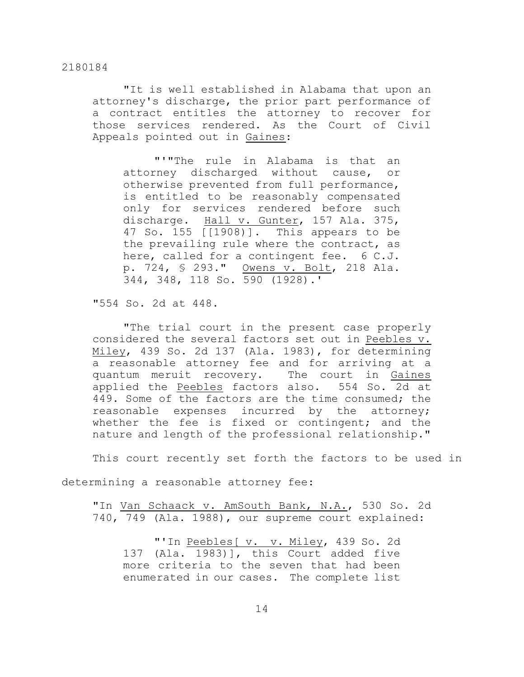"It is well established in Alabama that upon an attorney's discharge, the prior part performance of a contract entitles the attorney to recover for those services rendered. As the Court of Civil Appeals pointed out in Gaines:

"'"The rule in Alabama is that an attorney discharged without cause, or otherwise prevented from full performance, is entitled to be reasonably compensated only for services rendered before such discharge. Hall v. Gunter, 157 Ala. 375, 47 So. 155 [[1908)]. This appears to be the prevailing rule where the contract, as here, called for a contingent fee. 6 C.J. p. 724, § 293." Owens v. Bolt, 218 Ala. 344, 348, 118 So. 590 (1928).'

"554 So. 2d at 448.

"The trial court in the present case properly considered the several factors set out in Peebles v. Miley, 439 So. 2d 137 (Ala. 1983), for determining a reasonable attorney fee and for arriving at a quantum meruit recovery. The court in Gaines applied the Peebles factors also. 554 So. 2d at 449. Some of the factors are the time consumed; the reasonable expenses incurred by the attorney; whether the fee is fixed or contingent; and the nature and length of the professional relationship."

This court recently set forth the factors to be used in

determining a reasonable attorney fee:

"In Van Schaack v. AmSouth Bank, N.A., 530 So. 2d 740, 749 (Ala. 1988), our supreme court explained:

"'In Peebles[ v. v. Miley, 439 So. 2d 137 (Ala. 1983)], this Court added five more criteria to the seven that had been enumerated in our cases. The complete list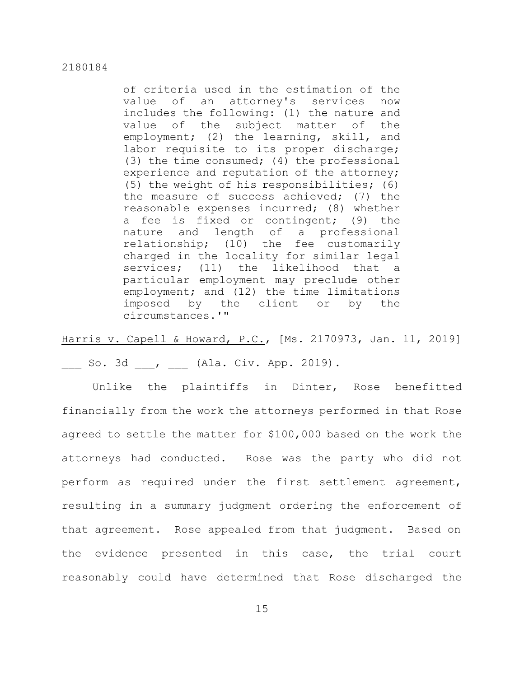of criteria used in the estimation of the value of an attorney's services now includes the following: (1) the nature and value of the subject matter of the employment; (2) the learning, skill, and labor requisite to its proper discharge; (3) the time consumed; (4) the professional experience and reputation of the attorney; (5) the weight of his responsibilities; (6) the measure of success achieved; (7) the reasonable expenses incurred; (8) whether a fee is fixed or contingent; (9) the nature and length of a professional relationship; (10) the fee customarily charged in the locality for similar legal services; (11) the likelihood that a particular employment may preclude other employment; and (12) the time limitations imposed by the client or by the circumstances.'"

Harris v. Capell & Howard, P.C., [Ms. 2170973, Jan. 11, 2019]

So. 3d , (Ala. Civ. App. 2019).

Unlike the plaintiffs in Dinter, Rose benefitted financially from the work the attorneys performed in that Rose agreed to settle the matter for \$100,000 based on the work the attorneys had conducted. Rose was the party who did not perform as required under the first settlement agreement, resulting in a summary judgment ordering the enforcement of that agreement. Rose appealed from that judgment. Based on the evidence presented in this case, the trial court reasonably could have determined that Rose discharged the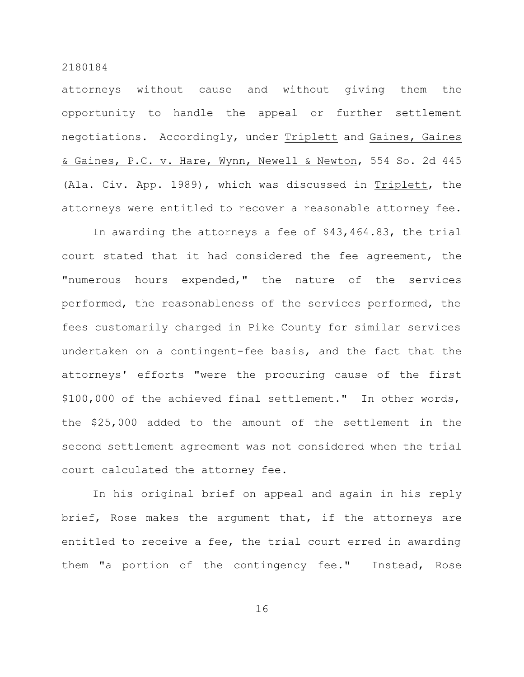attorneys without cause and without giving them the opportunity to handle the appeal or further settlement negotiations. Accordingly, under Triplett and Gaines, Gaines & Gaines, P.C. v. Hare, Wynn, Newell & Newton, 554 So. 2d 445 (Ala. Civ. App. 1989), which was discussed in Triplett, the attorneys were entitled to recover a reasonable attorney fee.

In awarding the attorneys a fee of \$43,464.83, the trial court stated that it had considered the fee agreement, the "numerous hours expended," the nature of the services performed, the reasonableness of the services performed, the fees customarily charged in Pike County for similar services undertaken on a contingent-fee basis, and the fact that the attorneys' efforts "were the procuring cause of the first \$100,000 of the achieved final settlement." In other words, the \$25,000 added to the amount of the settlement in the second settlement agreement was not considered when the trial court calculated the attorney fee.

In his original brief on appeal and again in his reply brief, Rose makes the argument that, if the attorneys are entitled to receive a fee, the trial court erred in awarding them "a portion of the contingency fee." Instead, Rose